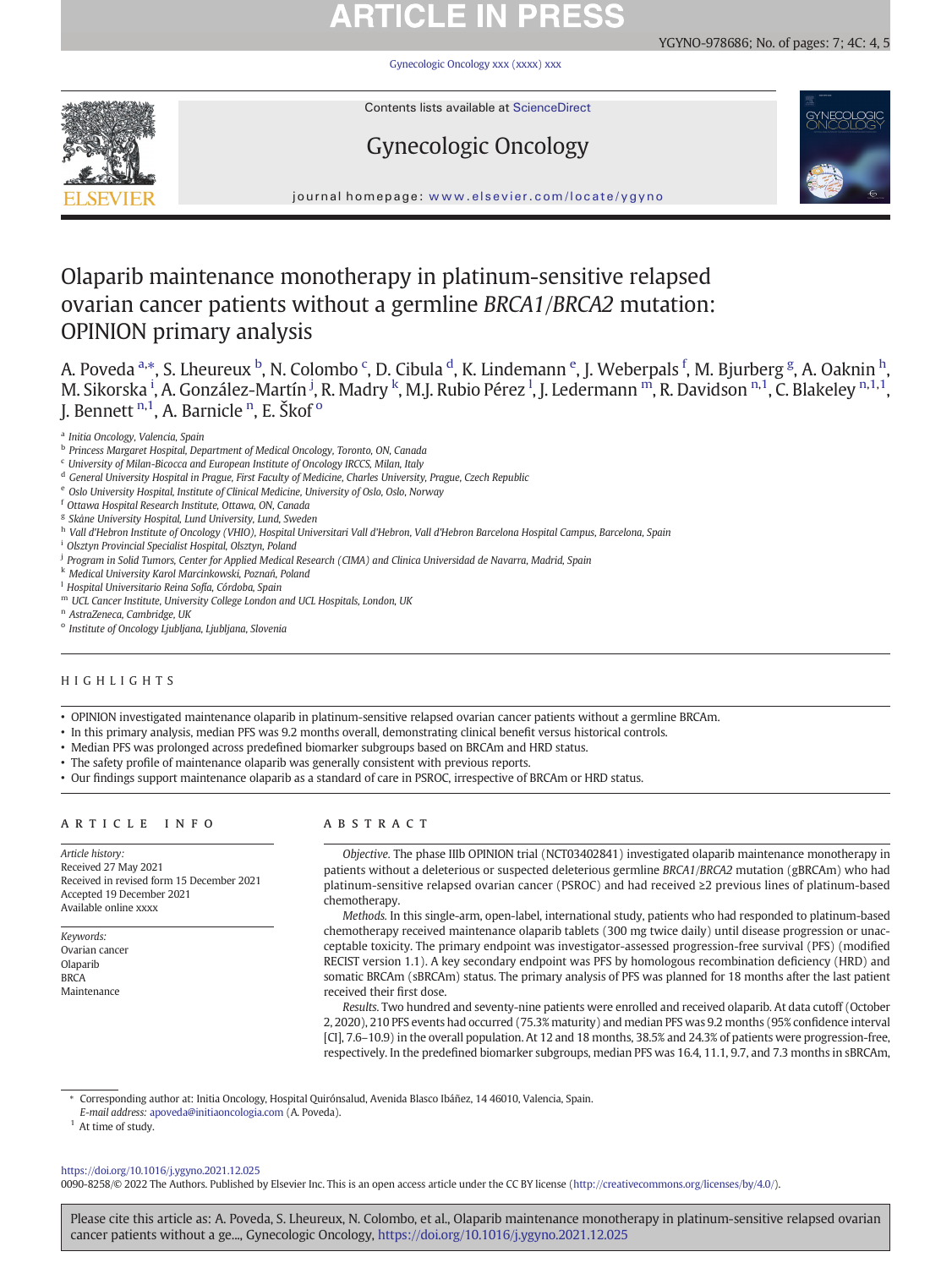# **ARTICLE IN PRESS**

[Gynecologic Oncology xxx \(xxxx\) xxx](https://doi.org/10.1016/j.ygyno.2021.12.025)

YGYNO-978686; No. of pages: 7; 4C: 4, 5

Contents lists available at ScienceDirect

## Gynecologic Oncology



journal homepage: <www.elsevier.com/locate/ygyno>

## Olaparib maintenance monotherapy in platinum-sensitive relapsed ovarian cancer patients without a germline BRCA1/BRCA2 mutation: OPINION primary analysis

A. Poveda <sup>a,</sup>\*, S. Lheureux <sup>b</sup>, N. Colombo <sup>c</sup>, D. Cibula <sup>d</sup>, K. Lindemann <sup>e</sup>, J. Weberpals <sup>f</sup>, M. Bjurberg <sup>g</sup>, A. Oaknin <sup>h</sup>, M. Sikorska <sup>i</sup>, A. González-Martín <sup>j</sup>, R. Madry <sup>k</sup>, M.J. Rubio Pérez <sup>l</sup>, J. Ledermann ™, R. Davidson ™, C. Blakeley ™,1,1, J. Bennett <sup>n,1</sup>, A. Barnicle <sup>n</sup>, E. Škof <sup>o</sup>

- <sup>e</sup> Oslo University Hospital, Institute of Clinical Medicine, University of Oslo, Oslo, Norway
- <sup>f</sup> Ottawa Hospital Research Institute, Ottawa, ON, Canada
- <sup>g</sup> Skåne University Hospital, Lund University, Lund, Sweden
- h Vall d'Hebron Institute of Oncology (VHIO), Hospital Universitari Vall d'Hebron, Vall d'Hebron Barcelona Hospital Campus, Barcelona, Spain
- <sup>i</sup> Olsztyn Provincial Specialist Hospital, Olsztyn, Poland
- <sup>j</sup> Program in Solid Tumors, Center for Applied Medical Research (CIMA) and Clinica Universidad de Navarra, Madrid, Spain
- <sup>k</sup> Medical University Karol Marcinkowski, Poznań, Poland
- <sup>1</sup> Hospital Universitario Reina Sofía, Córdoba, Spain
- <sup>m</sup> UCL Cancer Institute, University College London and UCL Hospitals, London, UK
- <sup>n</sup> AstraZeneca, Cambridge, UK
- <sup>o</sup> Institute of Oncology Ljubljana, Ljubljana, Slovenia

### HIGHLIGHTS

• OPINION investigated maintenance olaparib in platinum-sensitive relapsed ovarian cancer patients without a germline BRCAm.

- In this primary analysis, median PFS was 9.2 months overall, demonstrating clinical benefit versus historical controls.
- Median PFS was prolonged across predefined biomarker subgroups based on BRCAm and HRD status.
- The safety profile of maintenance olaparib was generally consistent with previous reports.
- Our findings support maintenance olaparib as a standard of care in PSROC, irrespective of BRCAm or HRD status.

### ARTICLE INFO ABSTRACT

Article history: Received 27 May 2021 Received in revised form 15 December 2021 Accepted 19 December 2021 Available online xxxx

Keywords: Ovarian cancer Olaparib **BRCA** Maintenance

Objective. The phase IIIb OPINION trial (NCT03402841) investigated olaparib maintenance monotherapy in patients without a deleterious or suspected deleterious germline BRCA1/BRCA2 mutation (gBRCAm) who had platinum-sensitive relapsed ovarian cancer (PSROC) and had received ≥2 previous lines of platinum-based chemotherapy.

Methods. In this single-arm, open-label, international study, patients who had responded to platinum-based chemotherapy received maintenance olaparib tablets (300 mg twice daily) until disease progression or unacceptable toxicity. The primary endpoint was investigator-assessed progression-free survival (PFS) (modified RECIST version 1.1). A key secondary endpoint was PFS by homologous recombination deficiency (HRD) and somatic BRCAm (sBRCAm) status. The primary analysis of PFS was planned for 18 months after the last patient received their first dose.

Results. Two hundred and seventy-nine patients were enrolled and received olaparib. At data cutoff (October 2, 2020), 210 PFS events had occurred (75.3% maturity) and median PFS was 9.2 months (95% confidence interval [CI], 7.6–10.9) in the overall population. At 12 and 18 months, 38.5% and 24.3% of patients were progression-free, respectively. In the predefined biomarker subgroups, median PFS was 16.4, 11.1, 9.7, and 7.3 months in sBRCAm,

⁎ Corresponding author at: Initia Oncology, Hospital Quirónsalud, Avenida Blasco Ibáñez, 14 46010, Valencia, Spain.

E-mail address: [apoveda@initiaoncologia.com](mailto:apoveda@initiaoncologia.com) (A. Poveda).

 $1$  At time of study.

<https://doi.org/10.1016/j.ygyno.2021.12.025>

0090-8258/© 2022 The Authors. Published by Elsevier Inc. This is an open access article under the CC BY license (<http://creativecommons.org/licenses/by/4.0/>).

Please cite this article as: A. Poveda, S. Lheureux, N. Colombo, et al., Olaparib maintenance monotherapy in platinum-sensitive relapsed ovarian cancer patients without a ge..., Gynecologic Oncology, <https://doi.org/10.1016/j.ygyno.2021.12.025>

<sup>a</sup> Initia Oncology, Valencia, Spain

<sup>b</sup> Princess Margaret Hospital, Department of Medical Oncology, Toronto, ON, Canada

<sup>c</sup> University of Milan-Bicocca and European Institute of Oncology IRCCS, Milan, Italy

<sup>d</sup> General University Hospital in Prague, First Faculty of Medicine, Charles University, Prague, Czech Republic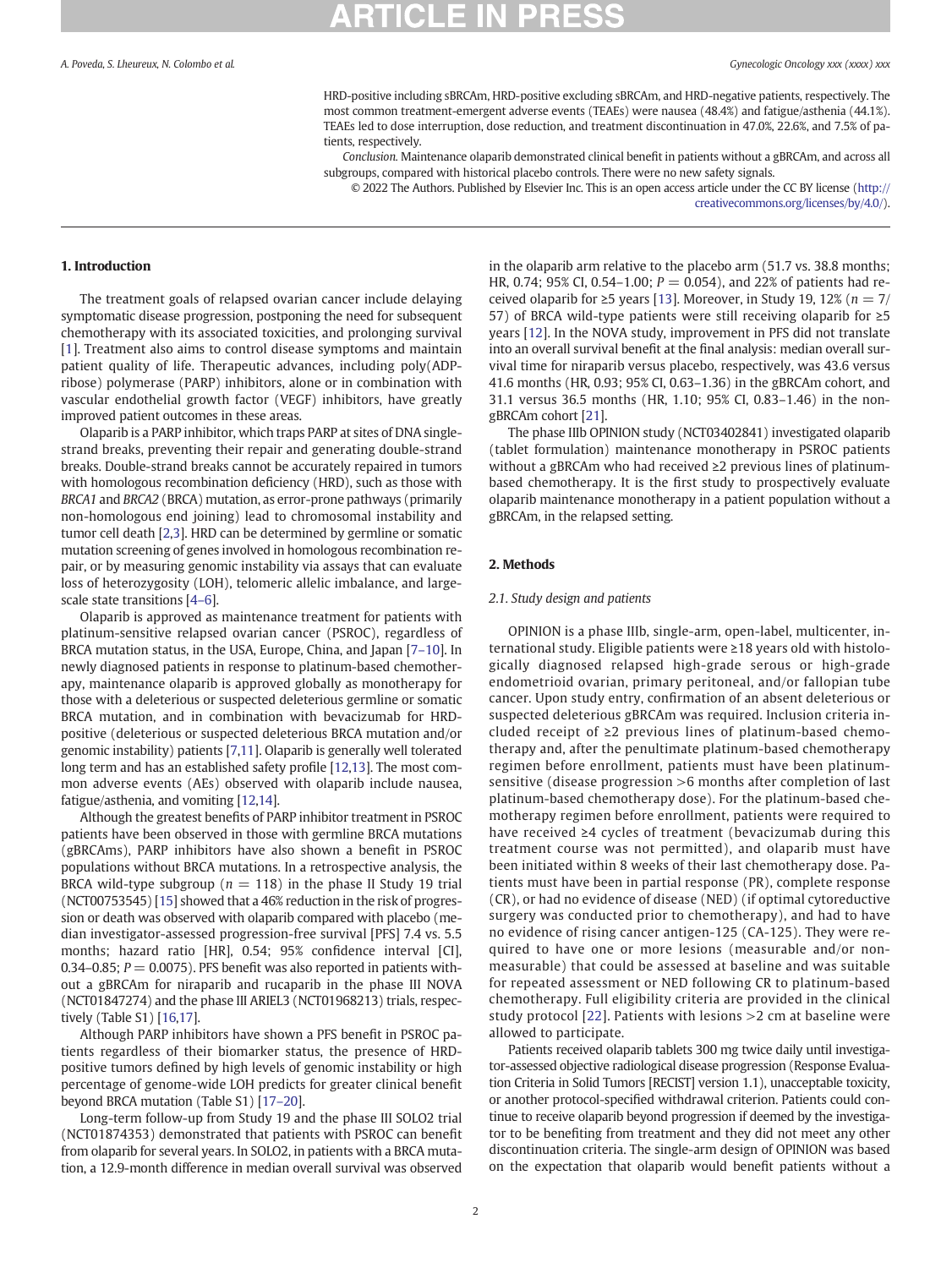HRD-positive including sBRCAm, HRD-positive excluding sBRCAm, and HRD-negative patients, respectively. The most common treatment-emergent adverse events (TEAEs) were nausea (48.4%) and fatigue/asthenia (44.1%). TEAEs led to dose interruption, dose reduction, and treatment discontinuation in 47.0%, 22.6%, and 7.5% of patients, respectively.

Conclusion. Maintenance olaparib demonstrated clinical benefit in patients without a gBRCAm, and across all subgroups, compared with historical placebo controls. There were no new safety signals.

© 2022 The Authors. Published by Elsevier Inc. This is an open access article under the CC BY license ([http://](http://creativecommons.org/licenses/by/4.0/) [creativecommons.org/licenses/by/4.0/\)](http://creativecommons.org/licenses/by/4.0/).

### 1. Introduction

The treatment goals of relapsed ovarian cancer include delaying symptomatic disease progression, postponing the need for subsequent chemotherapy with its associated toxicities, and prolonging survival [[1\]](#page-5-0). Treatment also aims to control disease symptoms and maintain patient quality of life. Therapeutic advances, including poly(ADPribose) polymerase (PARP) inhibitors, alone or in combination with vascular endothelial growth factor (VEGF) inhibitors, have greatly improved patient outcomes in these areas.

Olaparib is a PARP inhibitor, which traps PARP at sites of DNA singlestrand breaks, preventing their repair and generating double-strand breaks. Double-strand breaks cannot be accurately repaired in tumors with homologous recombination deficiency (HRD), such as those with BRCA1 and BRCA2 (BRCA) mutation, as error-prone pathways (primarily non-homologous end joining) lead to chromosomal instability and tumor cell death [\[2,3\]](#page-6-0). HRD can be determined by germline or somatic mutation screening of genes involved in homologous recombination repair, or by measuring genomic instability via assays that can evaluate loss of heterozygosity (LOH), telomeric allelic imbalance, and largescale state transitions [\[4](#page-6-0)–6].

Olaparib is approved as maintenance treatment for patients with platinum-sensitive relapsed ovarian cancer (PSROC), regardless of BRCA mutation status, in the USA, Europe, China, and Japan [7–[10](#page-6-0)]. In newly diagnosed patients in response to platinum-based chemotherapy, maintenance olaparib is approved globally as monotherapy for those with a deleterious or suspected deleterious germline or somatic BRCA mutation, and in combination with bevacizumab for HRDpositive (deleterious or suspected deleterious BRCA mutation and/or genomic instability) patients [\[7,11](#page-6-0)]. Olaparib is generally well tolerated long term and has an established safety profile [\[12](#page-6-0),[13\]](#page-6-0). The most common adverse events (AEs) observed with olaparib include nausea, fatigue/asthenia, and vomiting [\[12,14\]](#page-6-0).

Although the greatest benefits of PARP inhibitor treatment in PSROC patients have been observed in those with germline BRCA mutations (gBRCAms), PARP inhibitors have also shown a benefit in PSROC populations without BRCA mutations. In a retrospective analysis, the BRCA wild-type subgroup ( $n = 118$ ) in the phase II Study 19 trial (NCT00753545) [\[15](#page-6-0)] showed that a 46% reduction in the risk of progression or death was observed with olaparib compared with placebo (median investigator-assessed progression-free survival [PFS] 7.4 vs. 5.5 months; hazard ratio [HR], 0.54; 95% confidence interval [CI], 0.34–0.85;  $P = 0.0075$ ). PFS benefit was also reported in patients without a gBRCAm for niraparib and rucaparib in the phase III NOVA (NCT01847274) and the phase III ARIEL3 (NCT01968213) trials, respectively (Table S1) [\[16](#page-6-0),[17\]](#page-6-0).

Although PARP inhibitors have shown a PFS benefit in PSROC patients regardless of their biomarker status, the presence of HRDpositive tumors defined by high levels of genomic instability or high percentage of genome-wide LOH predicts for greater clinical benefit beyond BRCA mutation (Table S1) [\[17](#page-6-0)–20].

Long-term follow-up from Study 19 and the phase III SOLO2 trial (NCT01874353) demonstrated that patients with PSROC can benefit from olaparib for several years. In SOLO2, in patients with a BRCA mutation, a 12.9-month difference in median overall survival was observed in the olaparib arm relative to the placebo arm (51.7 vs. 38.8 months; HR, 0.74; 95% CI, 0.54–1.00;  $P = 0.054$ ), and 22% of patients had received olaparib for  $\geq$ 5 years [[13\]](#page-6-0). Moreover, in Study 19, 12% ( $n = 7/$ 57) of BRCA wild-type patients were still receiving olaparib for ≥5 years [[12\]](#page-6-0). In the NOVA study, improvement in PFS did not translate into an overall survival benefit at the final analysis: median overall survival time for niraparib versus placebo, respectively, was 43.6 versus 41.6 months (HR, 0.93; 95% CI, 0.63–1.36) in the gBRCAm cohort, and 31.1 versus 36.5 months (HR, 1.10; 95% CI, 0.83–1.46) in the nongBRCAm cohort [[21\]](#page-6-0).

The phase IIIb OPINION study (NCT03402841) investigated olaparib (tablet formulation) maintenance monotherapy in PSROC patients without a gBRCAm who had received ≥2 previous lines of platinumbased chemotherapy. It is the first study to prospectively evaluate olaparib maintenance monotherapy in a patient population without a gBRCAm, in the relapsed setting.

### 2. Methods

### 2.1. Study design and patients

OPINION is a phase IIIb, single-arm, open-label, multicenter, international study. Eligible patients were ≥18 years old with histologically diagnosed relapsed high-grade serous or high-grade endometrioid ovarian, primary peritoneal, and/or fallopian tube cancer. Upon study entry, confirmation of an absent deleterious or suspected deleterious gBRCAm was required. Inclusion criteria included receipt of ≥2 previous lines of platinum-based chemotherapy and, after the penultimate platinum-based chemotherapy regimen before enrollment, patients must have been platinumsensitive (disease progression >6 months after completion of last platinum-based chemotherapy dose). For the platinum-based chemotherapy regimen before enrollment, patients were required to have received ≥4 cycles of treatment (bevacizumab during this treatment course was not permitted), and olaparib must have been initiated within 8 weeks of their last chemotherapy dose. Patients must have been in partial response (PR), complete response (CR), or had no evidence of disease (NED) (if optimal cytoreductive surgery was conducted prior to chemotherapy), and had to have no evidence of rising cancer antigen-125 (CA-125). They were required to have one or more lesions (measurable and/or nonmeasurable) that could be assessed at baseline and was suitable for repeated assessment or NED following CR to platinum-based chemotherapy. Full eligibility criteria are provided in the clinical study protocol [\[22](#page-6-0)]. Patients with lesions >2 cm at baseline were allowed to participate.

Patients received olaparib tablets 300 mg twice daily until investigator-assessed objective radiological disease progression (Response Evaluation Criteria in Solid Tumors [RECIST] version 1.1), unacceptable toxicity, or another protocol-specified withdrawal criterion. Patients could continue to receive olaparib beyond progression if deemed by the investigator to be benefiting from treatment and they did not meet any other discontinuation criteria. The single-arm design of OPINION was based on the expectation that olaparib would benefit patients without a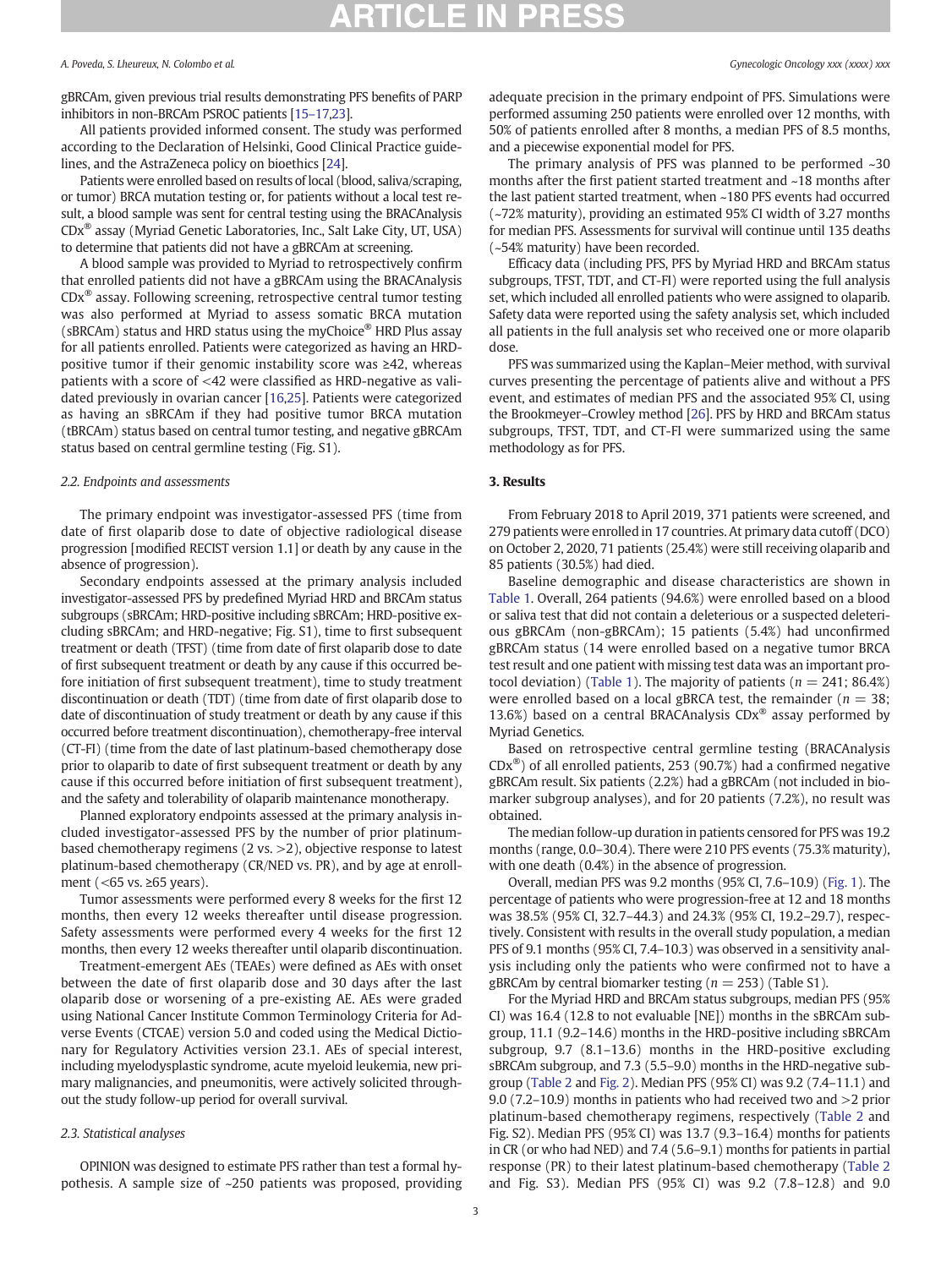gBRCAm, given previous trial results demonstrating PFS benefits of PARP inhibitors in non-BRCAm PSROC patients [\[15](#page-6-0)–17,[23](#page-6-0)].

All patients provided informed consent. The study was performed according to the Declaration of Helsinki, Good Clinical Practice guidelines, and the AstraZeneca policy on bioethics [\[24](#page-6-0)].

Patients were enrolled based on results of local (blood, saliva/scraping, or tumor) BRCA mutation testing or, for patients without a local test result, a blood sample was sent for central testing using the BRACAnalysis CDx® assay (Myriad Genetic Laboratories, Inc., Salt Lake City, UT, USA) to determine that patients did not have a gBRCAm at screening.

A blood sample was provided to Myriad to retrospectively confirm that enrolled patients did not have a gBRCAm using the BRACAnalysis CDx® assay. Following screening, retrospective central tumor testing was also performed at Myriad to assess somatic BRCA mutation (sBRCAm) status and HRD status using the myChoice® HRD Plus assay for all patients enrolled. Patients were categorized as having an HRDpositive tumor if their genomic instability score was ≥42, whereas patients with a score of <42 were classified as HRD-negative as validated previously in ovarian cancer [[16,25\]](#page-6-0). Patients were categorized as having an sBRCAm if they had positive tumor BRCA mutation (tBRCAm) status based on central tumor testing, and negative gBRCAm status based on central germline testing (Fig. S1).

### 2.2. Endpoints and assessments

The primary endpoint was investigator-assessed PFS (time from date of first olaparib dose to date of objective radiological disease progression [modified RECIST version 1.1] or death by any cause in the absence of progression).

Secondary endpoints assessed at the primary analysis included investigator-assessed PFS by predefined Myriad HRD and BRCAm status subgroups (sBRCAm; HRD-positive including sBRCAm; HRD-positive excluding sBRCAm; and HRD-negative; Fig. S1), time to first subsequent treatment or death (TFST) (time from date of first olaparib dose to date of first subsequent treatment or death by any cause if this occurred before initiation of first subsequent treatment), time to study treatment discontinuation or death (TDT) (time from date of first olaparib dose to date of discontinuation of study treatment or death by any cause if this occurred before treatment discontinuation), chemotherapy-free interval (CT-FI) (time from the date of last platinum-based chemotherapy dose prior to olaparib to date of first subsequent treatment or death by any cause if this occurred before initiation of first subsequent treatment), and the safety and tolerability of olaparib maintenance monotherapy.

Planned exploratory endpoints assessed at the primary analysis included investigator-assessed PFS by the number of prior platinumbased chemotherapy regimens (2 vs. >2), objective response to latest platinum-based chemotherapy (CR/NED vs. PR), and by age at enrollment (<65 vs. ≥65 years).

Tumor assessments were performed every 8 weeks for the first 12 months, then every 12 weeks thereafter until disease progression. Safety assessments were performed every 4 weeks for the first 12 months, then every 12 weeks thereafter until olaparib discontinuation.

Treatment-emergent AEs (TEAEs) were defined as AEs with onset between the date of first olaparib dose and 30 days after the last olaparib dose or worsening of a pre-existing AE. AEs were graded using National Cancer Institute Common Terminology Criteria for Adverse Events (CTCAE) version 5.0 and coded using the Medical Dictionary for Regulatory Activities version 23.1. AEs of special interest, including myelodysplastic syndrome, acute myeloid leukemia, new primary malignancies, and pneumonitis, were actively solicited throughout the study follow-up period for overall survival.

### 2.3. Statistical analyses

OPINION was designed to estimate PFS rather than test a formal hypothesis. A sample size of ~250 patients was proposed, providing adequate precision in the primary endpoint of PFS. Simulations were performed assuming 250 patients were enrolled over 12 months, with 50% of patients enrolled after 8 months, a median PFS of 8.5 months, and a piecewise exponential model for PFS.

The primary analysis of PFS was planned to be performed ~30 months after the first patient started treatment and ~18 months after the last patient started treatment, when ~180 PFS events had occurred (~72% maturity), providing an estimated 95% CI width of 3.27 months for median PFS. Assessments for survival will continue until 135 deaths (~54% maturity) have been recorded.

Efficacy data (including PFS, PFS by Myriad HRD and BRCAm status subgroups, TFST, TDT, and CT-FI) were reported using the full analysis set, which included all enrolled patients who were assigned to olaparib. Safety data were reported using the safety analysis set, which included all patients in the full analysis set who received one or more olaparib dose.

PFS was summarized using the Kaplan–Meier method, with survival curves presenting the percentage of patients alive and without a PFS event, and estimates of median PFS and the associated 95% CI, using the Brookmeyer–Crowley method [\[26](#page-6-0)]. PFS by HRD and BRCAm status subgroups, TFST, TDT, and CT-FI were summarized using the same methodology as for PFS.

### 3. Results

From February 2018 to April 2019, 371 patients were screened, and 279 patients were enrolled in 17 countries. At primary data cutoff (DCO) on October 2, 2020, 71 patients (25.4%) were still receiving olaparib and 85 patients (30.5%) had died.

Baseline demographic and disease characteristics are shown in [Table 1](#page-3-0). Overall, 264 patients (94.6%) were enrolled based on a blood or saliva test that did not contain a deleterious or a suspected deleterious gBRCAm (non-gBRCAm); 15 patients (5.4%) had unconfirmed gBRCAm status (14 were enrolled based on a negative tumor BRCA test result and one patient with missing test data was an important pro-tocol deviation) ([Table 1](#page-3-0)). The majority of patients ( $n = 241$ ; 86.4%) were enrolled based on a local gBRCA test, the remainder ( $n = 38$ ; 13.6%) based on a central BRACAnalysis  $CDx^{\circledast}$  assay performed by Myriad Genetics.

Based on retrospective central germline testing (BRACAnalysis CDx®) of all enrolled patients, 253 (90.7%) had a confirmed negative gBRCAm result. Six patients (2.2%) had a gBRCAm (not included in biomarker subgroup analyses), and for 20 patients (7.2%), no result was obtained.

The median follow-up duration in patients censored for PFS was 19.2 months (range, 0.0–30.4). There were 210 PFS events (75.3% maturity), with one death (0.4%) in the absence of progression.

Overall, median PFS was 9.2 months (95% CI, 7.6–10.9) [\(Fig. 1\)](#page-3-0). The percentage of patients who were progression-free at 12 and 18 months was 38.5% (95% CI, 32.7–44.3) and 24.3% (95% CI, 19.2–29.7), respectively. Consistent with results in the overall study population, a median PFS of 9.1 months (95% CI, 7.4–10.3) was observed in a sensitivity analysis including only the patients who were confirmed not to have a gBRCAm by central biomarker testing ( $n = 253$ ) (Table S1).

For the Myriad HRD and BRCAm status subgroups, median PFS (95% CI) was 16.4 (12.8 to not evaluable [NE]) months in the sBRCAm subgroup, 11.1 (9.2–14.6) months in the HRD-positive including sBRCAm subgroup, 9.7 (8.1–13.6) months in the HRD-positive excluding sBRCAm subgroup, and 7.3 (5.5–9.0) months in the HRD-negative subgroup ([Table 2](#page-4-0) and [Fig. 2\)](#page-4-0). Median PFS (95% CI) was 9.2 (7.4–11.1) and 9.0 (7.2–10.9) months in patients who had received two and >2 prior platinum-based chemotherapy regimens, respectively [\(Table 2](#page-4-0) and Fig. S2). Median PFS (95% CI) was 13.7 (9.3–16.4) months for patients in CR (or who had NED) and 7.4 (5.6–9.1) months for patients in partial response (PR) to their latest platinum-based chemotherapy ([Table 2](#page-4-0) and Fig. S3). Median PFS (95% CI) was 9.2 (7.8–12.8) and 9.0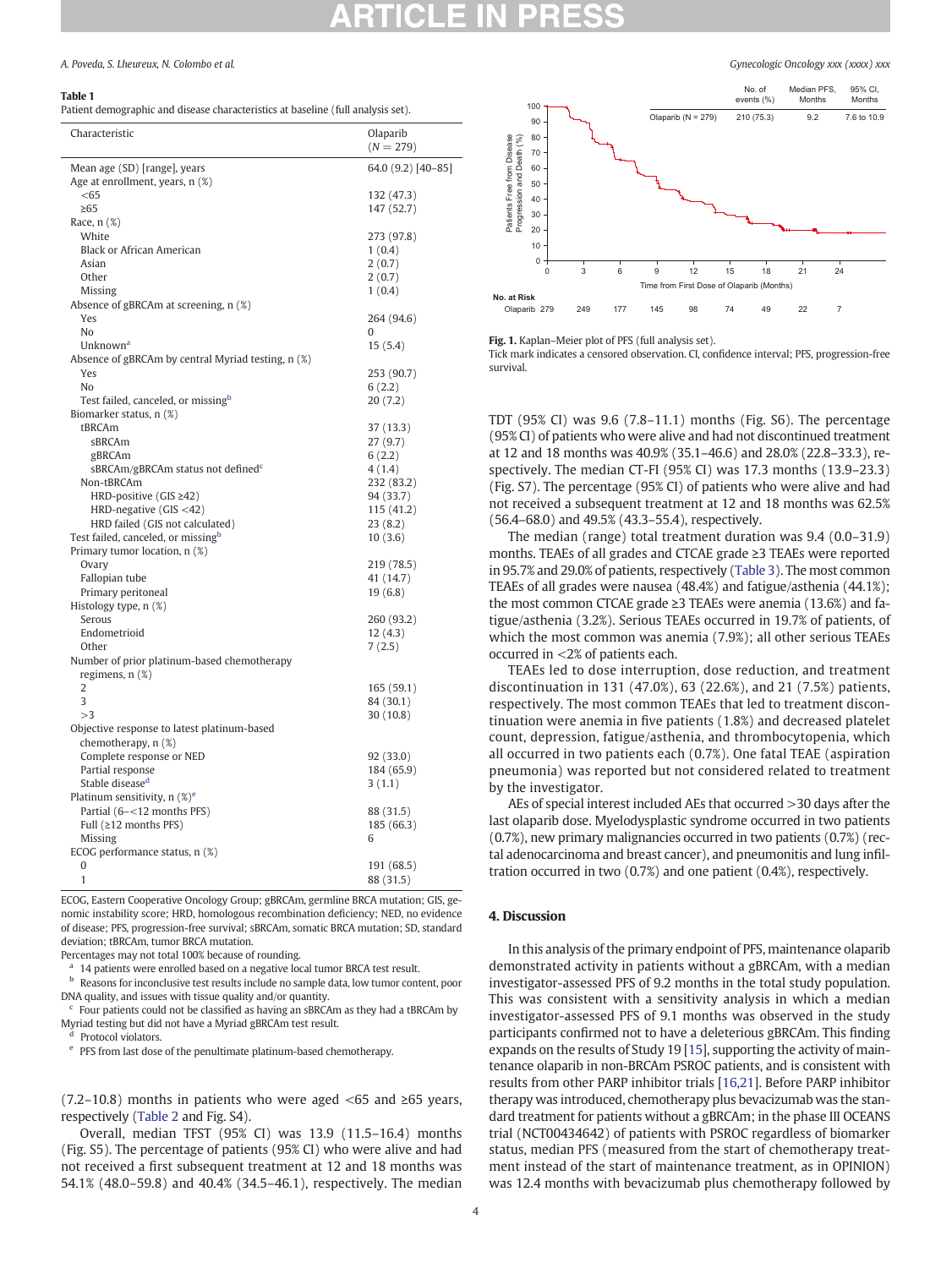#### <span id="page-3-0"></span>Table 1

Patient demographic and disease characteristics at baseline (full analysis set).

| 64.0 (9.2) [40-85]<br>Mean age (SD) [range], years<br>Age at enrollment, years, n (%)<br>< 65<br>132 (47.3)<br>147 (52.7)<br>$\geq 65$<br>Race, n (%)<br>White<br>273 (97.8)<br><b>Black or African American</b><br>1(0.4)<br>2(0.7)<br>Asian<br>Other<br>2(0.7)<br>Missing<br>1(0.4)<br>Absence of gBRCAm at screening, n (%)<br>264 (94.6)<br>Yes<br>No<br>0<br>Unknown <sup>a</sup><br>15(5.4)<br>Absence of gBRCAm by central Myriad testing, n (%)<br>Yes<br>253 (90.7)<br>No<br>6(2.2)<br>Test failed, canceled, or missingb<br>20(7.2)<br>Biomarker status, n (%)<br>tBRCAm<br>37 (13.3)<br>sBRCAm<br>27(9.7)<br>gBRCAm<br>6(2.2)<br>sBRCAm/gBRCAm status not defined <sup>c</sup><br>4(1.4)<br>Non-tBRCAm<br>232 (83.2)<br>HRD-positive (GIS ≥42)<br>94 (33.7)<br>HRD-negative (GIS <42)<br>115 (41.2)<br>HRD failed (GIS not calculated)<br>23(8.2)<br>Test failed, canceled, or missing <sup>b</sup><br>10(3.6)<br>Primary tumor location, n (%)<br>Ovary<br>219 (78.5)<br>Fallopian tube<br>41 (14.7)<br>Primary peritoneal<br>19(6.8)<br>Histology type, n (%)<br>260 (93.2)<br>Serous<br>Endometrioid<br>12(4.3)<br>Other<br>7(2.5)<br>Number of prior platinum-based chemotherapy<br>regimens, n (%)<br>$\overline{2}$<br>165 (59.1)<br>3<br>84 (30.1)<br>>3<br>30(10.8)<br>Objective response to latest platinum-based<br>chemotherapy, n (%)<br>Complete response or NED<br>92 (33.0)<br>Partial response<br>184 (65.9)<br>Stable disease <sup>d</sup><br>3(1.1)<br>Platinum sensitivity, n (%) <sup>e</sup><br>Partial (6-<12 months PFS)<br>88 (31.5)<br>Full (≥12 months PFS)<br>185 (66.3)<br>Missing<br>6<br>ECOG performance status, n (%)<br>0<br>191 (68.5)<br>1<br>88 (31.5) | Characteristic | Olaparib<br>$(N = 279)$ |
|-------------------------------------------------------------------------------------------------------------------------------------------------------------------------------------------------------------------------------------------------------------------------------------------------------------------------------------------------------------------------------------------------------------------------------------------------------------------------------------------------------------------------------------------------------------------------------------------------------------------------------------------------------------------------------------------------------------------------------------------------------------------------------------------------------------------------------------------------------------------------------------------------------------------------------------------------------------------------------------------------------------------------------------------------------------------------------------------------------------------------------------------------------------------------------------------------------------------------------------------------------------------------------------------------------------------------------------------------------------------------------------------------------------------------------------------------------------------------------------------------------------------------------------------------------------------------------------------------------------------------------------------------------------------------------------------------------|----------------|-------------------------|
|                                                                                                                                                                                                                                                                                                                                                                                                                                                                                                                                                                                                                                                                                                                                                                                                                                                                                                                                                                                                                                                                                                                                                                                                                                                                                                                                                                                                                                                                                                                                                                                                                                                                                                       |                |                         |
|                                                                                                                                                                                                                                                                                                                                                                                                                                                                                                                                                                                                                                                                                                                                                                                                                                                                                                                                                                                                                                                                                                                                                                                                                                                                                                                                                                                                                                                                                                                                                                                                                                                                                                       |                |                         |
|                                                                                                                                                                                                                                                                                                                                                                                                                                                                                                                                                                                                                                                                                                                                                                                                                                                                                                                                                                                                                                                                                                                                                                                                                                                                                                                                                                                                                                                                                                                                                                                                                                                                                                       |                |                         |
|                                                                                                                                                                                                                                                                                                                                                                                                                                                                                                                                                                                                                                                                                                                                                                                                                                                                                                                                                                                                                                                                                                                                                                                                                                                                                                                                                                                                                                                                                                                                                                                                                                                                                                       |                |                         |
|                                                                                                                                                                                                                                                                                                                                                                                                                                                                                                                                                                                                                                                                                                                                                                                                                                                                                                                                                                                                                                                                                                                                                                                                                                                                                                                                                                                                                                                                                                                                                                                                                                                                                                       |                |                         |
|                                                                                                                                                                                                                                                                                                                                                                                                                                                                                                                                                                                                                                                                                                                                                                                                                                                                                                                                                                                                                                                                                                                                                                                                                                                                                                                                                                                                                                                                                                                                                                                                                                                                                                       |                |                         |
|                                                                                                                                                                                                                                                                                                                                                                                                                                                                                                                                                                                                                                                                                                                                                                                                                                                                                                                                                                                                                                                                                                                                                                                                                                                                                                                                                                                                                                                                                                                                                                                                                                                                                                       |                |                         |
|                                                                                                                                                                                                                                                                                                                                                                                                                                                                                                                                                                                                                                                                                                                                                                                                                                                                                                                                                                                                                                                                                                                                                                                                                                                                                                                                                                                                                                                                                                                                                                                                                                                                                                       |                |                         |
|                                                                                                                                                                                                                                                                                                                                                                                                                                                                                                                                                                                                                                                                                                                                                                                                                                                                                                                                                                                                                                                                                                                                                                                                                                                                                                                                                                                                                                                                                                                                                                                                                                                                                                       |                |                         |
|                                                                                                                                                                                                                                                                                                                                                                                                                                                                                                                                                                                                                                                                                                                                                                                                                                                                                                                                                                                                                                                                                                                                                                                                                                                                                                                                                                                                                                                                                                                                                                                                                                                                                                       |                |                         |
|                                                                                                                                                                                                                                                                                                                                                                                                                                                                                                                                                                                                                                                                                                                                                                                                                                                                                                                                                                                                                                                                                                                                                                                                                                                                                                                                                                                                                                                                                                                                                                                                                                                                                                       |                |                         |
|                                                                                                                                                                                                                                                                                                                                                                                                                                                                                                                                                                                                                                                                                                                                                                                                                                                                                                                                                                                                                                                                                                                                                                                                                                                                                                                                                                                                                                                                                                                                                                                                                                                                                                       |                |                         |
|                                                                                                                                                                                                                                                                                                                                                                                                                                                                                                                                                                                                                                                                                                                                                                                                                                                                                                                                                                                                                                                                                                                                                                                                                                                                                                                                                                                                                                                                                                                                                                                                                                                                                                       |                |                         |
|                                                                                                                                                                                                                                                                                                                                                                                                                                                                                                                                                                                                                                                                                                                                                                                                                                                                                                                                                                                                                                                                                                                                                                                                                                                                                                                                                                                                                                                                                                                                                                                                                                                                                                       |                |                         |
|                                                                                                                                                                                                                                                                                                                                                                                                                                                                                                                                                                                                                                                                                                                                                                                                                                                                                                                                                                                                                                                                                                                                                                                                                                                                                                                                                                                                                                                                                                                                                                                                                                                                                                       |                |                         |
|                                                                                                                                                                                                                                                                                                                                                                                                                                                                                                                                                                                                                                                                                                                                                                                                                                                                                                                                                                                                                                                                                                                                                                                                                                                                                                                                                                                                                                                                                                                                                                                                                                                                                                       |                |                         |
|                                                                                                                                                                                                                                                                                                                                                                                                                                                                                                                                                                                                                                                                                                                                                                                                                                                                                                                                                                                                                                                                                                                                                                                                                                                                                                                                                                                                                                                                                                                                                                                                                                                                                                       |                |                         |
|                                                                                                                                                                                                                                                                                                                                                                                                                                                                                                                                                                                                                                                                                                                                                                                                                                                                                                                                                                                                                                                                                                                                                                                                                                                                                                                                                                                                                                                                                                                                                                                                                                                                                                       |                |                         |
|                                                                                                                                                                                                                                                                                                                                                                                                                                                                                                                                                                                                                                                                                                                                                                                                                                                                                                                                                                                                                                                                                                                                                                                                                                                                                                                                                                                                                                                                                                                                                                                                                                                                                                       |                |                         |
|                                                                                                                                                                                                                                                                                                                                                                                                                                                                                                                                                                                                                                                                                                                                                                                                                                                                                                                                                                                                                                                                                                                                                                                                                                                                                                                                                                                                                                                                                                                                                                                                                                                                                                       |                |                         |
|                                                                                                                                                                                                                                                                                                                                                                                                                                                                                                                                                                                                                                                                                                                                                                                                                                                                                                                                                                                                                                                                                                                                                                                                                                                                                                                                                                                                                                                                                                                                                                                                                                                                                                       |                |                         |
|                                                                                                                                                                                                                                                                                                                                                                                                                                                                                                                                                                                                                                                                                                                                                                                                                                                                                                                                                                                                                                                                                                                                                                                                                                                                                                                                                                                                                                                                                                                                                                                                                                                                                                       |                |                         |
|                                                                                                                                                                                                                                                                                                                                                                                                                                                                                                                                                                                                                                                                                                                                                                                                                                                                                                                                                                                                                                                                                                                                                                                                                                                                                                                                                                                                                                                                                                                                                                                                                                                                                                       |                |                         |
|                                                                                                                                                                                                                                                                                                                                                                                                                                                                                                                                                                                                                                                                                                                                                                                                                                                                                                                                                                                                                                                                                                                                                                                                                                                                                                                                                                                                                                                                                                                                                                                                                                                                                                       |                |                         |
|                                                                                                                                                                                                                                                                                                                                                                                                                                                                                                                                                                                                                                                                                                                                                                                                                                                                                                                                                                                                                                                                                                                                                                                                                                                                                                                                                                                                                                                                                                                                                                                                                                                                                                       |                |                         |
|                                                                                                                                                                                                                                                                                                                                                                                                                                                                                                                                                                                                                                                                                                                                                                                                                                                                                                                                                                                                                                                                                                                                                                                                                                                                                                                                                                                                                                                                                                                                                                                                                                                                                                       |                |                         |
|                                                                                                                                                                                                                                                                                                                                                                                                                                                                                                                                                                                                                                                                                                                                                                                                                                                                                                                                                                                                                                                                                                                                                                                                                                                                                                                                                                                                                                                                                                                                                                                                                                                                                                       |                |                         |
|                                                                                                                                                                                                                                                                                                                                                                                                                                                                                                                                                                                                                                                                                                                                                                                                                                                                                                                                                                                                                                                                                                                                                                                                                                                                                                                                                                                                                                                                                                                                                                                                                                                                                                       |                |                         |
|                                                                                                                                                                                                                                                                                                                                                                                                                                                                                                                                                                                                                                                                                                                                                                                                                                                                                                                                                                                                                                                                                                                                                                                                                                                                                                                                                                                                                                                                                                                                                                                                                                                                                                       |                |                         |
|                                                                                                                                                                                                                                                                                                                                                                                                                                                                                                                                                                                                                                                                                                                                                                                                                                                                                                                                                                                                                                                                                                                                                                                                                                                                                                                                                                                                                                                                                                                                                                                                                                                                                                       |                |                         |
|                                                                                                                                                                                                                                                                                                                                                                                                                                                                                                                                                                                                                                                                                                                                                                                                                                                                                                                                                                                                                                                                                                                                                                                                                                                                                                                                                                                                                                                                                                                                                                                                                                                                                                       |                |                         |
|                                                                                                                                                                                                                                                                                                                                                                                                                                                                                                                                                                                                                                                                                                                                                                                                                                                                                                                                                                                                                                                                                                                                                                                                                                                                                                                                                                                                                                                                                                                                                                                                                                                                                                       |                |                         |
|                                                                                                                                                                                                                                                                                                                                                                                                                                                                                                                                                                                                                                                                                                                                                                                                                                                                                                                                                                                                                                                                                                                                                                                                                                                                                                                                                                                                                                                                                                                                                                                                                                                                                                       |                |                         |
|                                                                                                                                                                                                                                                                                                                                                                                                                                                                                                                                                                                                                                                                                                                                                                                                                                                                                                                                                                                                                                                                                                                                                                                                                                                                                                                                                                                                                                                                                                                                                                                                                                                                                                       |                |                         |
|                                                                                                                                                                                                                                                                                                                                                                                                                                                                                                                                                                                                                                                                                                                                                                                                                                                                                                                                                                                                                                                                                                                                                                                                                                                                                                                                                                                                                                                                                                                                                                                                                                                                                                       |                |                         |
|                                                                                                                                                                                                                                                                                                                                                                                                                                                                                                                                                                                                                                                                                                                                                                                                                                                                                                                                                                                                                                                                                                                                                                                                                                                                                                                                                                                                                                                                                                                                                                                                                                                                                                       |                |                         |
|                                                                                                                                                                                                                                                                                                                                                                                                                                                                                                                                                                                                                                                                                                                                                                                                                                                                                                                                                                                                                                                                                                                                                                                                                                                                                                                                                                                                                                                                                                                                                                                                                                                                                                       |                |                         |
|                                                                                                                                                                                                                                                                                                                                                                                                                                                                                                                                                                                                                                                                                                                                                                                                                                                                                                                                                                                                                                                                                                                                                                                                                                                                                                                                                                                                                                                                                                                                                                                                                                                                                                       |                |                         |
|                                                                                                                                                                                                                                                                                                                                                                                                                                                                                                                                                                                                                                                                                                                                                                                                                                                                                                                                                                                                                                                                                                                                                                                                                                                                                                                                                                                                                                                                                                                                                                                                                                                                                                       |                |                         |
|                                                                                                                                                                                                                                                                                                                                                                                                                                                                                                                                                                                                                                                                                                                                                                                                                                                                                                                                                                                                                                                                                                                                                                                                                                                                                                                                                                                                                                                                                                                                                                                                                                                                                                       |                |                         |
|                                                                                                                                                                                                                                                                                                                                                                                                                                                                                                                                                                                                                                                                                                                                                                                                                                                                                                                                                                                                                                                                                                                                                                                                                                                                                                                                                                                                                                                                                                                                                                                                                                                                                                       |                |                         |
|                                                                                                                                                                                                                                                                                                                                                                                                                                                                                                                                                                                                                                                                                                                                                                                                                                                                                                                                                                                                                                                                                                                                                                                                                                                                                                                                                                                                                                                                                                                                                                                                                                                                                                       |                |                         |
|                                                                                                                                                                                                                                                                                                                                                                                                                                                                                                                                                                                                                                                                                                                                                                                                                                                                                                                                                                                                                                                                                                                                                                                                                                                                                                                                                                                                                                                                                                                                                                                                                                                                                                       |                |                         |
|                                                                                                                                                                                                                                                                                                                                                                                                                                                                                                                                                                                                                                                                                                                                                                                                                                                                                                                                                                                                                                                                                                                                                                                                                                                                                                                                                                                                                                                                                                                                                                                                                                                                                                       |                |                         |
|                                                                                                                                                                                                                                                                                                                                                                                                                                                                                                                                                                                                                                                                                                                                                                                                                                                                                                                                                                                                                                                                                                                                                                                                                                                                                                                                                                                                                                                                                                                                                                                                                                                                                                       |                |                         |
|                                                                                                                                                                                                                                                                                                                                                                                                                                                                                                                                                                                                                                                                                                                                                                                                                                                                                                                                                                                                                                                                                                                                                                                                                                                                                                                                                                                                                                                                                                                                                                                                                                                                                                       |                |                         |
|                                                                                                                                                                                                                                                                                                                                                                                                                                                                                                                                                                                                                                                                                                                                                                                                                                                                                                                                                                                                                                                                                                                                                                                                                                                                                                                                                                                                                                                                                                                                                                                                                                                                                                       |                |                         |
|                                                                                                                                                                                                                                                                                                                                                                                                                                                                                                                                                                                                                                                                                                                                                                                                                                                                                                                                                                                                                                                                                                                                                                                                                                                                                                                                                                                                                                                                                                                                                                                                                                                                                                       |                |                         |
|                                                                                                                                                                                                                                                                                                                                                                                                                                                                                                                                                                                                                                                                                                                                                                                                                                                                                                                                                                                                                                                                                                                                                                                                                                                                                                                                                                                                                                                                                                                                                                                                                                                                                                       |                |                         |
|                                                                                                                                                                                                                                                                                                                                                                                                                                                                                                                                                                                                                                                                                                                                                                                                                                                                                                                                                                                                                                                                                                                                                                                                                                                                                                                                                                                                                                                                                                                                                                                                                                                                                                       |                |                         |
|                                                                                                                                                                                                                                                                                                                                                                                                                                                                                                                                                                                                                                                                                                                                                                                                                                                                                                                                                                                                                                                                                                                                                                                                                                                                                                                                                                                                                                                                                                                                                                                                                                                                                                       |                |                         |
|                                                                                                                                                                                                                                                                                                                                                                                                                                                                                                                                                                                                                                                                                                                                                                                                                                                                                                                                                                                                                                                                                                                                                                                                                                                                                                                                                                                                                                                                                                                                                                                                                                                                                                       |                |                         |

ECOG, Eastern Cooperative Oncology Group; gBRCAm, germline BRCA mutation; GIS, genomic instability score; HRD, homologous recombination deficiency; NED, no evidence of disease; PFS, progression-free survival; sBRCAm, somatic BRCA mutation; SD, standard deviation; tBRCAm, tumor BRCA mutation.

Percentages may not total 100% because of rounding.

14 patients were enrolled based on a negative local tumor BRCA test result.

<sup>b</sup> Reasons for inconclusive test results include no sample data, low tumor content, poor DNA quality, and issues with tissue quality and/or quantity.

 $c$  Four patients could not be classified as having an sBRCAm as they had a tBRCAm by Myriad testing but did not have a Myriad gBRCAm test result.

Protocol violators.

<sup>e</sup> PFS from last dose of the penultimate platinum-based chemotherapy.

(7.2–10.8) months in patients who were aged <65 and  $\geq$ 65 years, respectively [\(Table 2](#page-4-0) and Fig. S4).

Overall, median TFST (95% CI) was 13.9 (11.5–16.4) months (Fig. S5). The percentage of patients (95% CI) who were alive and had not received a first subsequent treatment at 12 and 18 months was 54.1% (48.0–59.8) and 40.4% (34.5–46.1), respectively. The median



Fig. 1. Kaplan–Meier plot of PFS (full analysis set).

Tick mark indicates a censored observation. CI, confidence interval; PFS, progression-free survival.

TDT (95% CI) was 9.6 (7.8–11.1) months (Fig. S6). The percentage (95% CI) of patients who were alive and had not discontinued treatment at 12 and 18 months was 40.9% (35.1–46.6) and 28.0% (22.8–33.3), respectively. The median CT-FI (95% CI) was 17.3 months (13.9–23.3) (Fig. S7). The percentage (95% CI) of patients who were alive and had not received a subsequent treatment at 12 and 18 months was 62.5% (56.4–68.0) and 49.5% (43.3–55.4), respectively.

The median (range) total treatment duration was 9.4 (0.0–31.9) months. TEAEs of all grades and CTCAE grade ≥3 TEAEs were reported in 95.7% and 29.0% of patients, respectively [\(Table 3](#page-4-0)). The most common TEAEs of all grades were nausea (48.4%) and fatigue/asthenia (44.1%); the most common CTCAE grade ≥3 TEAEs were anemia (13.6%) and fatigue/asthenia (3.2%). Serious TEAEs occurred in 19.7% of patients, of which the most common was anemia (7.9%); all other serious TEAEs occurred in <2% of patients each.

TEAEs led to dose interruption, dose reduction, and treatment discontinuation in 131 (47.0%), 63 (22.6%), and 21 (7.5%) patients, respectively. The most common TEAEs that led to treatment discontinuation were anemia in five patients (1.8%) and decreased platelet count, depression, fatigue/asthenia, and thrombocytopenia, which all occurred in two patients each (0.7%). One fatal TEAE (aspiration pneumonia) was reported but not considered related to treatment by the investigator.

AEs of special interest included AEs that occurred >30 days after the last olaparib dose. Myelodysplastic syndrome occurred in two patients (0.7%), new primary malignancies occurred in two patients (0.7%) (rectal adenocarcinoma and breast cancer), and pneumonitis and lung infiltration occurred in two (0.7%) and one patient (0.4%), respectively.

### 4. Discussion

In this analysis of the primary endpoint of PFS, maintenance olaparib demonstrated activity in patients without a gBRCAm, with a median investigator-assessed PFS of 9.2 months in the total study population. This was consistent with a sensitivity analysis in which a median investigator-assessed PFS of 9.1 months was observed in the study participants confirmed not to have a deleterious gBRCAm. This finding expands on the results of Study 19 [[15\]](#page-6-0), supporting the activity of maintenance olaparib in non-BRCAm PSROC patients, and is consistent with results from other PARP inhibitor trials [\[16,21](#page-6-0)]. Before PARP inhibitor therapy was introduced, chemotherapy plus bevacizumab was the standard treatment for patients without a gBRCAm; in the phase III OCEANS trial (NCT00434642) of patients with PSROC regardless of biomarker status, median PFS (measured from the start of chemotherapy treatment instead of the start of maintenance treatment, as in OPINION) was 12.4 months with bevacizumab plus chemotherapy followed by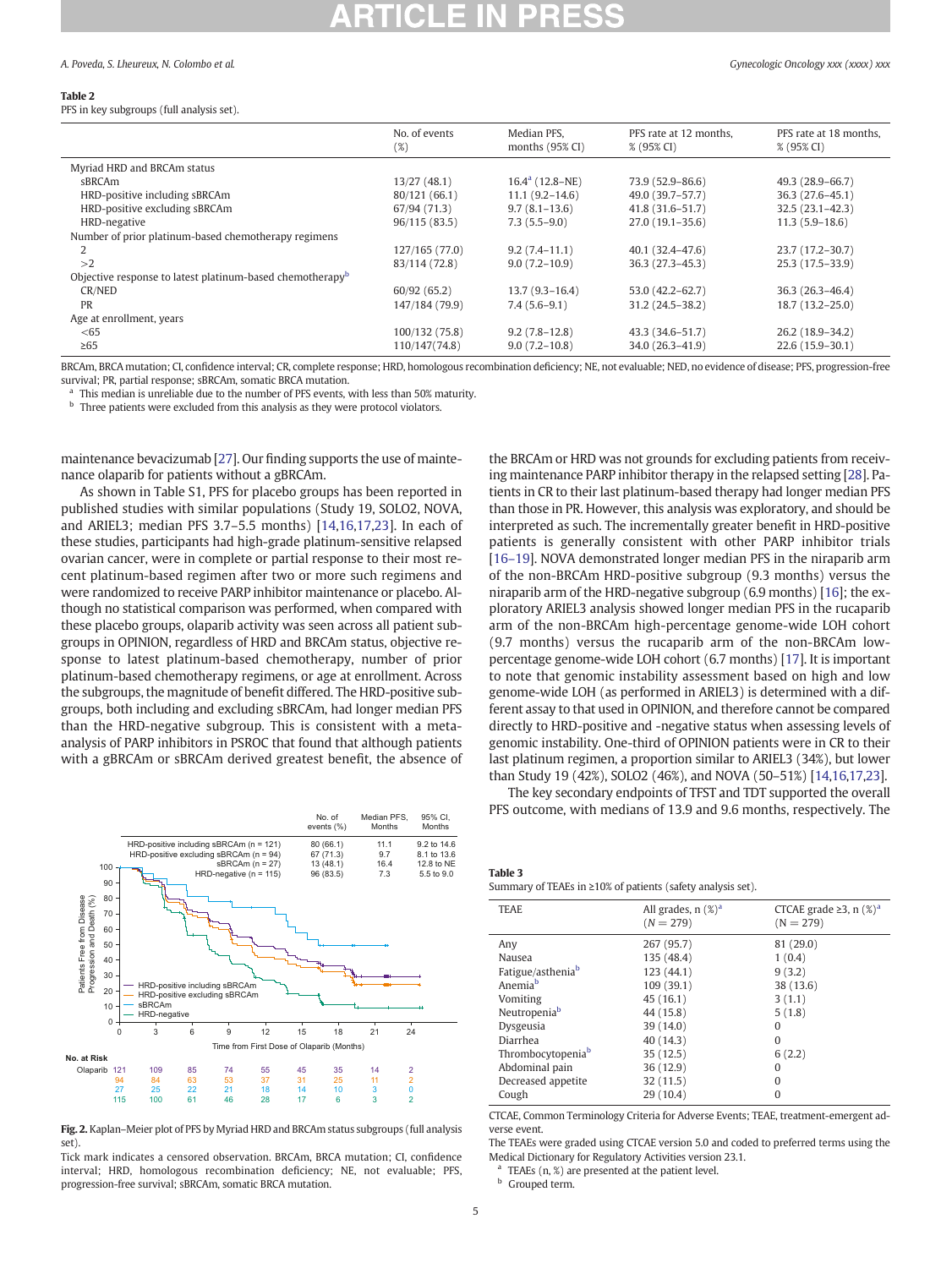#### <span id="page-4-0"></span>Table 2

PFS in key subgroups (full analysis set).

|                                                                       | No. of events<br>(%) | Median PFS,<br>months $(95\% \text{ CI})$ | PFS rate at 12 months.<br>% (95% CI) | PFS rate at 18 months,<br>% (95% CI) |
|-----------------------------------------------------------------------|----------------------|-------------------------------------------|--------------------------------------|--------------------------------------|
| Myriad HRD and BRCAm status                                           |                      |                                           |                                      |                                      |
| sBRCAm                                                                | 13/27(48.1)          | $16.4^a$ (12.8–NE)                        | 73.9 (52.9-86.6)                     | 49.3 (28.9-66.7)                     |
| HRD-positive including sBRCAm                                         | 80/121 (66.1)        | $11.1(9.2 - 14.6)$                        | 49.0 (39.7–57.7)                     | $36.3(27.6-45.1)$                    |
| HRD-positive excluding sBRCAm                                         | 67/94 (71.3)         | $9.7(8.1-13.6)$                           | 41.8 (31.6-51.7)                     | $32.5(23.1 - 42.3)$                  |
| HRD-negative                                                          | 96/115(83.5)         | $7.3(5.5-9.0)$                            | $27.0(19.1-35.6)$                    | $11.3(5.9 - 18.6)$                   |
| Number of prior platinum-based chemotherapy regimens                  |                      |                                           |                                      |                                      |
|                                                                       | 127/165 (77.0)       | $9.2(7.4 - 11.1)$                         | $40.1(32.4 - 47.6)$                  | 23.7 (17.2-30.7)                     |
| >2                                                                    | 83/114 (72.8)        | $9.0(7.2 - 10.9)$                         | $36.3(27.3 - 45.3)$                  | 25.3 (17.5-33.9)                     |
| Objective response to latest platinum-based chemotherapy <sup>b</sup> |                      |                                           |                                      |                                      |
| CR/NED                                                                | 60/92(65.2)          | $13.7(9.3-16.4)$                          | 53.0 (42.2-62.7)                     | $36.3(26.3 - 46.4)$                  |
| <b>PR</b>                                                             | 147/184 (79.9)       | $7.4(5.6-9.1)$                            | 31.2 (24.5-38.2)                     | $18.7(13.2 - 25.0)$                  |
| Age at enrollment, years                                              |                      |                                           |                                      |                                      |
| < 65                                                                  | 100/132 (75.8)       | $9.2(7.8 - 12.8)$                         | 43.3 (34.6-51.7)                     | 26.2 (18.9-34.2)                     |
| $\geq 65$                                                             | 110/147(74.8)        | $9.0(7.2 - 10.8)$                         | 34.0 (26.3-41.9)                     | $22.6(15.9 - 30.1)$                  |

BRCAm, BRCA mutation; CI, confidence interval; CR, complete response; HRD, homologous recombination deficiency; NE, not evaluable; NED, no evidence of disease; PFS, progression-free survival; PR, partial response; sBRCAm, somatic BRCA mutation.

<sup>a</sup> This median is unreliable due to the number of PFS events, with less than 50% maturity.

 $b$  Three patients were excluded from this analysis as they were protocol violators.

maintenance bevacizumab [[27](#page-6-0)]. Our finding supports the use of maintenance olaparib for patients without a gBRCAm.

As shown in Table S1, PFS for placebo groups has been reported in published studies with similar populations (Study 19, SOLO2, NOVA, and ARIEL3; median PFS 3.7–5.5 months) [\[14,16,17,23\]](#page-6-0). In each of these studies, participants had high-grade platinum-sensitive relapsed ovarian cancer, were in complete or partial response to their most recent platinum-based regimen after two or more such regimens and were randomized to receive PARP inhibitor maintenance or placebo. Although no statistical comparison was performed, when compared with these placebo groups, olaparib activity was seen across all patient subgroups in OPINION, regardless of HRD and BRCAm status, objective response to latest platinum-based chemotherapy, number of prior platinum-based chemotherapy regimens, or age at enrollment. Across the subgroups, the magnitude of benefit differed. The HRD-positive subgroups, both including and excluding sBRCAm, had longer median PFS than the HRD-negative subgroup. This is consistent with a metaanalysis of PARP inhibitors in PSROC that found that although patients with a gBRCAm or sBRCAm derived greatest benefit, the absence of



Fig. 2. Kaplan–Meier plot of PFS by Myriad HRD and BRCAm status subgroups (full analysis set).

Tick mark indicates a censored observation. BRCAm, BRCA mutation; CI, confidence interval; HRD, homologous recombination deficiency; NE, not evaluable; PFS, progression-free survival; sBRCAm, somatic BRCA mutation.

the BRCAm or HRD was not grounds for excluding patients from receiving maintenance PARP inhibitor therapy in the relapsed setting [[28](#page-6-0)]. Patients in CR to their last platinum-based therapy had longer median PFS than those in PR. However, this analysis was exploratory, and should be interpreted as such. The incrementally greater benefit in HRD-positive patients is generally consistent with other PARP inhibitor trials [[16](#page-6-0)–19]. NOVA demonstrated longer median PFS in the niraparib arm of the non-BRCAm HRD-positive subgroup (9.3 months) versus the niraparib arm of the HRD-negative subgroup (6.9 months) [\[16\]](#page-6-0); the exploratory ARIEL3 analysis showed longer median PFS in the rucaparib arm of the non-BRCAm high-percentage genome-wide LOH cohort (9.7 months) versus the rucaparib arm of the non-BRCAm lowpercentage genome-wide LOH cohort (6.7 months) [\[17](#page-6-0)]. It is important to note that genomic instability assessment based on high and low genome-wide LOH (as performed in ARIEL3) is determined with a different assay to that used in OPINION, and therefore cannot be compared directly to HRD-positive and -negative status when assessing levels of genomic instability. One-third of OPINION patients were in CR to their last platinum regimen, a proportion similar to ARIEL3 (34%), but lower than Study 19 (42%), SOLO2 (46%), and NOVA (50–51%) [\[14,16,17](#page-6-0),[23\]](#page-6-0).

The key secondary endpoints of TFST and TDT supported the overall PFS outcome, with medians of 13.9 and 9.6 months, respectively. The

| Table 3                                                     |  |  |
|-------------------------------------------------------------|--|--|
| Summary of TEAEs in ≥10% of patients (safety analysis set). |  |  |

| <b>TEAE</b>                   | All grades, $n$ (%) <sup>a</sup><br>$(N = 279)$ | CTCAE grade $\geq 3$ , n $(\%)^a$<br>$(N = 279)$ |
|-------------------------------|-------------------------------------------------|--------------------------------------------------|
| Any                           | 267 (95.7)                                      | 81 (29.0)                                        |
| Nausea                        | 135 (48.4)                                      | 1(0.4)                                           |
| Fatigue/asthenia <sup>b</sup> | 123 (44.1)                                      | 9(3.2)                                           |
| Anemia <sup>b</sup>           | 109 (39.1)                                      | 38 (13.6)                                        |
| Vomiting                      | 45(16.1)                                        | 3(1.1)                                           |
| Neutropenia <sup>b</sup>      | 44 (15.8)                                       | 5(1.8)                                           |
| Dysgeusia                     | 39(14.0)                                        | $\Omega$                                         |
| Diarrhea                      | 40 (14.3)                                       | $\Omega$                                         |
| Thrombocytopenia <sup>b</sup> | 35(12.5)                                        | 6(2.2)                                           |
| Abdominal pain                | 36(12.9)                                        | $\Omega$                                         |
| Decreased appetite            | 32(11.5)                                        | 0                                                |
| Cough                         | 29 (10.4)                                       | 0                                                |
|                               |                                                 |                                                  |

CTCAE, Common Terminology Criteria for Adverse Events; TEAE, treatment-emergent adverse event.

The TEAEs were graded using CTCAE version 5.0 and coded to preferred terms using the Medical Dictionary for Regulatory Activities version 23.1.

<sup>a</sup> TEAEs  $(n, \mathcal{X})$  are presented at the patient level.

Grouped term.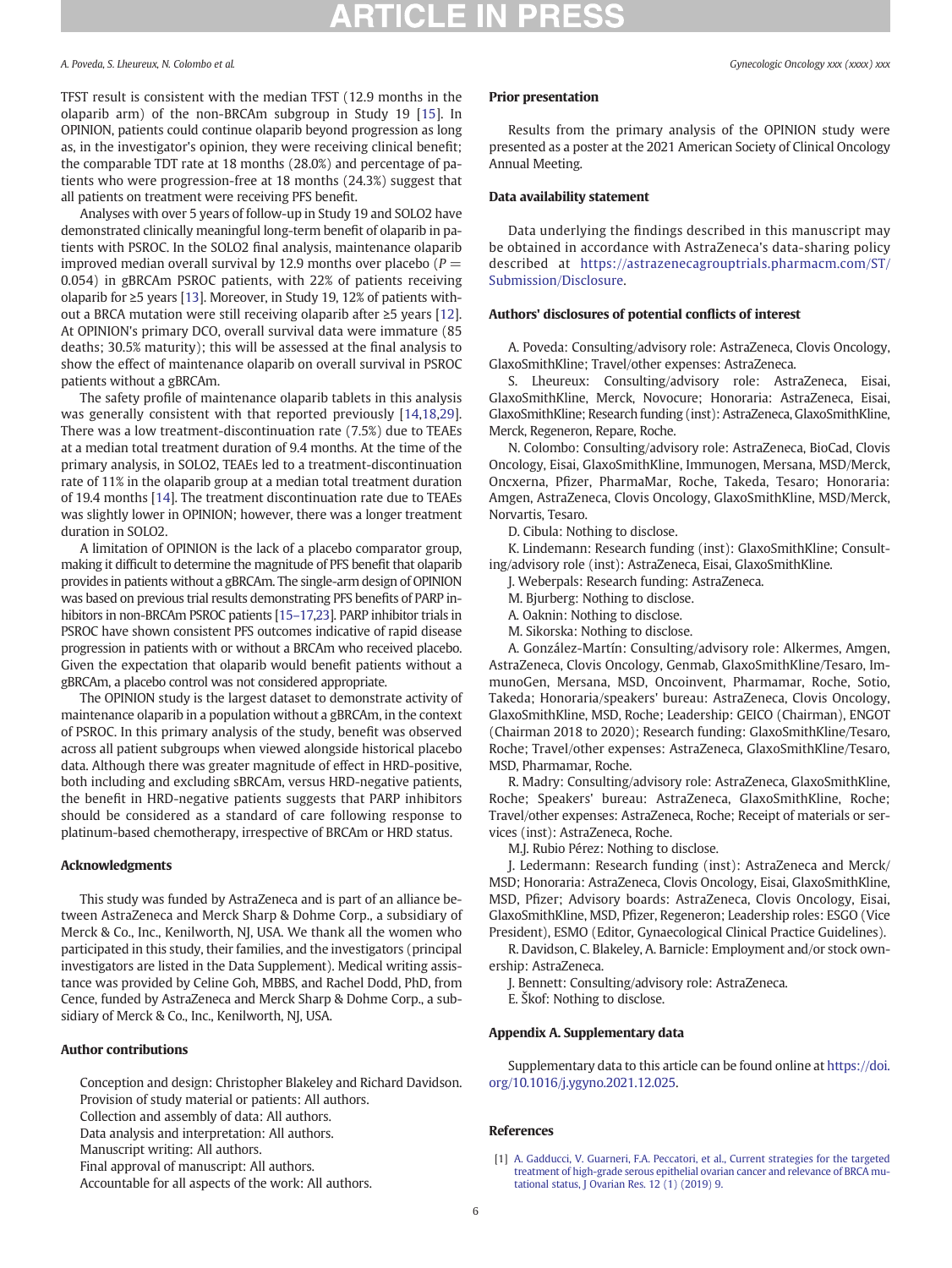#### <span id="page-5-0"></span>A. Poveda, S. Lheureux, N. Colombo et al.  $Gy_1x_2$  and  $Gy_2$  and  $Gy_3$  are  $Gy_1$  and  $Gy_2$  are  $Gy_3$  and  $Gy_1$  are  $Gy_2$  and  $Gy_3$   $\ldots$   $Gy_n$  are  $Gy_1$   $\ldots$   $Gy_n$   $\ldots$   $Gy_n$   $\ldots$   $Gy_n$   $\ldots$   $Gy_n$   $\ldots$   $Gy_n$

TFST result is consistent with the median TFST (12.9 months in the olaparib arm) of the non-BRCAm subgroup in Study 19 [[15\]](#page-6-0). In OPINION, patients could continue olaparib beyond progression as long as, in the investigator's opinion, they were receiving clinical benefit; the comparable TDT rate at 18 months (28.0%) and percentage of patients who were progression-free at 18 months (24.3%) suggest that all patients on treatment were receiving PFS benefit.

Analyses with over 5 years of follow-up in Study 19 and SOLO2 have demonstrated clinically meaningful long-term benefit of olaparib in patients with PSROC. In the SOLO2 final analysis, maintenance olaparib improved median overall survival by 12.9 months over placebo ( $P =$ 0.054) in gBRCAm PSROC patients, with 22% of patients receiving olaparib for ≥5 years [[13\]](#page-6-0). Moreover, in Study 19, 12% of patients without a BRCA mutation were still receiving olaparib after ≥5 years [\[12](#page-6-0)]. At OPINION's primary DCO, overall survival data were immature (85 deaths; 30.5% maturity); this will be assessed at the final analysis to show the effect of maintenance olaparib on overall survival in PSROC patients without a gBRCAm.

The safety profile of maintenance olaparib tablets in this analysis was generally consistent with that reported previously [[14,18,29](#page-6-0)]. There was a low treatment-discontinuation rate (7.5%) due to TEAEs at a median total treatment duration of 9.4 months. At the time of the primary analysis, in SOLO2, TEAEs led to a treatment-discontinuation rate of 11% in the olaparib group at a median total treatment duration of 19.4 months [\[14\]](#page-6-0). The treatment discontinuation rate due to TEAEs was slightly lower in OPINION; however, there was a longer treatment duration in SOLO2.

A limitation of OPINION is the lack of a placebo comparator group, making it difficult to determine the magnitude of PFS benefit that olaparib provides in patients without a gBRCAm. The single-arm design of OPINION was based on previous trial results demonstrating PFS benefits of PARP inhibitors in non-BRCAm PSROC patients [[15](#page-6-0)–17,[23](#page-6-0)]. PARP inhibitor trials in PSROC have shown consistent PFS outcomes indicative of rapid disease progression in patients with or without a BRCAm who received placebo. Given the expectation that olaparib would benefit patients without a gBRCAm, a placebo control was not considered appropriate.

The OPINION study is the largest dataset to demonstrate activity of maintenance olaparib in a population without a gBRCAm, in the context of PSROC. In this primary analysis of the study, benefit was observed across all patient subgroups when viewed alongside historical placebo data. Although there was greater magnitude of effect in HRD-positive, both including and excluding sBRCAm, versus HRD-negative patients, the benefit in HRD-negative patients suggests that PARP inhibitors should be considered as a standard of care following response to platinum-based chemotherapy, irrespective of BRCAm or HRD status.

#### Acknowledgments

This study was funded by AstraZeneca and is part of an alliance between AstraZeneca and Merck Sharp & Dohme Corp., a subsidiary of Merck & Co., Inc., Kenilworth, NJ, USA. We thank all the women who participated in this study, their families, and the investigators (principal investigators are listed in the Data Supplement). Medical writing assistance was provided by Celine Goh, MBBS, and Rachel Dodd, PhD, from Cence, funded by AstraZeneca and Merck Sharp & Dohme Corp., a subsidiary of Merck & Co., Inc., Kenilworth, NJ, USA.

#### Author contributions

Conception and design: Christopher Blakeley and Richard Davidson. Provision of study material or patients: All authors. Collection and assembly of data: All authors.

Data analysis and interpretation: All authors.

Manuscript writing: All authors.

Final approval of manuscript: All authors.

Accountable for all aspects of the work: All authors.

### Prior presentation

Results from the primary analysis of the OPINION study were presented as a poster at the 2021 American Society of Clinical Oncology Annual Meeting.

### Data availability statement

Data underlying the findings described in this manuscript may be obtained in accordance with AstraZeneca's data-sharing policy described at [https://astrazenecagrouptrials.pharmacm.com/ST/](https://astrazenecagrouptrials.pharmacm.com/ST/Submission/Disclosure) [Submission/Disclosure](https://astrazenecagrouptrials.pharmacm.com/ST/Submission/Disclosure).

### Authors' disclosures of potential conflicts of interest

A. Poveda: Consulting/advisory role: AstraZeneca, Clovis Oncology, GlaxoSmithKline; Travel/other expenses: AstraZeneca.

S. Lheureux: Consulting/advisory role: AstraZeneca, Eisai, GlaxoSmithKline, Merck, Novocure; Honoraria: AstraZeneca, Eisai, GlaxoSmithKline; Research funding (inst): AstraZeneca, GlaxoSmithKline, Merck, Regeneron, Repare, Roche.

N. Colombo: Consulting/advisory role: AstraZeneca, BioCad, Clovis Oncology, Eisai, GlaxoSmithKline, Immunogen, Mersana, MSD/Merck, Oncxerna, Pfizer, PharmaMar, Roche, Takeda, Tesaro; Honoraria: Amgen, AstraZeneca, Clovis Oncology, GlaxoSmithKline, MSD/Merck, Norvartis, Tesaro.

D. Cibula: Nothing to disclose.

K. Lindemann: Research funding (inst): GlaxoSmithKline; Consulting/advisory role (inst): AstraZeneca, Eisai, GlaxoSmithKline.

J. Weberpals: Research funding: AstraZeneca.

M. Bjurberg: Nothing to disclose.

A. Oaknin: Nothing to disclose.

M. Sikorska: Nothing to disclose.

A. González-Martín: Consulting/advisory role: Alkermes, Amgen, AstraZeneca, Clovis Oncology, Genmab, GlaxoSmithKline/Tesaro, ImmunoGen, Mersana, MSD, Oncoinvent, Pharmamar, Roche, Sotio, Takeda; Honoraria/speakers' bureau: AstraZeneca, Clovis Oncology, GlaxoSmithKline, MSD, Roche; Leadership: GEICO (Chairman), ENGOT (Chairman 2018 to 2020); Research funding: GlaxoSmithKline/Tesaro, Roche; Travel/other expenses: AstraZeneca, GlaxoSmithKline/Tesaro, MSD, Pharmamar, Roche.

R. Madry: Consulting/advisory role: AstraZeneca, GlaxoSmithKline, Roche; Speakers' bureau: AstraZeneca, GlaxoSmithKline, Roche; Travel/other expenses: AstraZeneca, Roche; Receipt of materials or services (inst): AstraZeneca, Roche.

M.J. Rubio Pérez: Nothing to disclose.

J. Ledermann: Research funding (inst): AstraZeneca and Merck/ MSD; Honoraria: AstraZeneca, Clovis Oncology, Eisai, GlaxoSmithKline, MSD, Pfizer; Advisory boards: AstraZeneca, Clovis Oncology, Eisai, GlaxoSmithKline, MSD, Pfizer, Regeneron; Leadership roles: ESGO (Vice President), ESMO (Editor, Gynaecological Clinical Practice Guidelines).

R. Davidson, C. Blakeley, A. Barnicle: Employment and/or stock ownership: AstraZeneca.

J. Bennett: Consulting/advisory role: AstraZeneca.

E. Škof: Nothing to disclose.

#### Appendix A. Supplementary data

Supplementary data to this article can be found online at [https://doi.](https://doi.org/10.1016/j.ygyno.2021.12.025) [org/10.1016/j.ygyno.2021.12.025.](https://doi.org/10.1016/j.ygyno.2021.12.025)

#### References

<sup>[1]</sup> [A. Gadducci, V. Guarneri, F.A. Peccatori, et al., Current strategies for the targeted](http://refhub.elsevier.com/S0090-8258(21)01693-0/rf0005) [treatment of high-grade serous epithelial ovarian cancer and relevance of BRCA mu](http://refhub.elsevier.com/S0090-8258(21)01693-0/rf0005)[tational status, J Ovarian Res. 12 \(1\) \(2019\) 9](http://refhub.elsevier.com/S0090-8258(21)01693-0/rf0005).